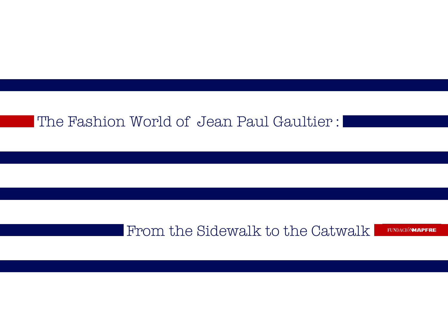# The Fashion World of Jean Paul Gaultier :

# From the Sidewalk to the Catwalk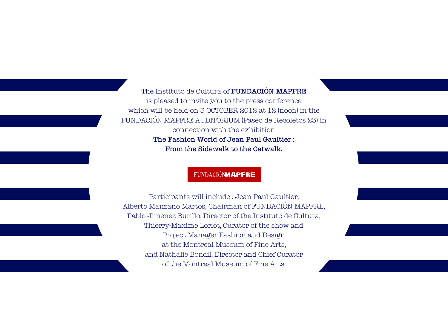The Instituto de Cultura of **FUNDACIÓN MAPFRE** is pleased to invite you to the press conference which will be held on 5 OCTOBER 2012 at 12 (noon) in the FUNDACIÓN MAPFRE AUDITORIUM (Paseo de Recoletos 23) in connection with the exhibition The Fashion World of Jean Paul Gaultier : From the Sidewalk to the Catwalk.

#### **FUNDACIÓNMAPFRE**

Participants will include : Jean Paul Gaultier, Alberto Manzano Martos, Chairman of FUNDACIÓN MAPFRE, Pablo Jiménez Burillo, Director of the Instituto de Cultura, Thierry-Maxime Loriot, Curator of the show and Project Manager Fashion and Design at the Montreal Museum of Fine Arts, and Nathalie Bondil, Director and Chief Curator of the Montreal Museum of Fine Arts.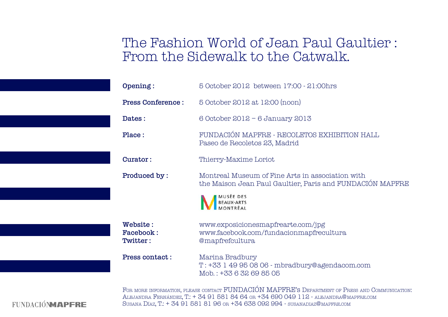# The Fashion World of Jean Paul Gaultier : From the Sidewalk to the Catwalk.

| Opening:                                                                                                                                                                               | 5 October 2012 between 17:00 - 21:00hrs                                                                       |
|----------------------------------------------------------------------------------------------------------------------------------------------------------------------------------------|---------------------------------------------------------------------------------------------------------------|
| <b>Press Conference:</b>                                                                                                                                                               | 5 October 2012 at 12:00 (noon)                                                                                |
| Dates:                                                                                                                                                                                 | 6 October 2012 - 6 January 2013                                                                               |
| Place:                                                                                                                                                                                 | FUNDACIÓN MAPFRE - RECOLETOS EXHIBITION HALL<br>Paseo de Recoletos 23, Madrid                                 |
| Curator:                                                                                                                                                                               | Thierry-Maxime Loriot                                                                                         |
| Produced by:                                                                                                                                                                           | Montreal Museum of Fine Arts in association with<br>the Maison Jean Paul Gaultier, Paris and FUNDACIÓN MAPFRE |
|                                                                                                                                                                                        | MUSĒE DES<br><b>BEAUX-ARTS</b><br>MONTRÈAI                                                                    |
| Website:<br><b>Facebook:</b><br>Twitter:                                                                                                                                               | www.exposicionesmapfrearte.com/jpg<br>www.facebook.com/fundacionmapfrecultura<br>@mapfrefcultura              |
| <b>Press contact:</b>                                                                                                                                                                  | Marina Bradbury<br>T: +33 1 49 95 08 06 - mbradbury@agendacom.com<br>Mob.: +33 6 32 69 85 05                  |
| FOR MORE INFORMATION, PLEASE CONTACT FUNDACIÓN MAPFRE'S DEPARTMENT OF PRESS AND COMMUNICATION:<br>ALEJANDRA FERNÁNDEZ, T.: + 34 91 581 84 64 OR +34 690 049 112 - ALEJANDRA@MAPFRE.COM |                                                                                                               |

**FUNDACIONMAPERE** 

Susana Díaz, T.: + 34 91 581 81 96 or +34 638 092 994 - susanadiaz@mapfre.com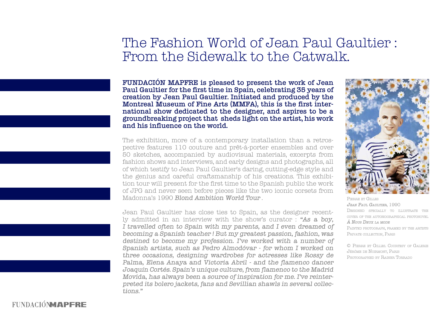# The Fashion World of Jean Paul Gaultier : From the Sidewalk to the Catwalk.

FUNDACIÓN MAPFRE is pleased to present the work of Jean Paul Gaultier for the first time in Spain, celebrating 35 years of creation by Jean Paul Gaultier. Initiated and produced by the Montreal Museum of Fine Arts (MMFA), this is the first international show dedicated to the designer, and aspires to be a groundbreaking project that sheds light on the artist, his work and his influence on the world.

The exhibition, more of a contemporary installation than a retrospective features 110 couture and prêt-à-porter ensembles and over 50 sketches, accompanied by audiovisual materials, excerpts from fashion shows and interviews, and early designs and photographs, all of which testify to Jean Paul Gaultier's daring, cutting-edge style and the genius and careful craftsmanship of his creations. This exhibition tour will present for the first time to the Spanish public the work of JPG and never seen before pieces like the two iconic corsets from Madonna's 1990 Blond Ambition World Tour .

Jean Paul Gaultier has close ties to Spain, as the designer recently admitted in an interview with the show's curator : "As a boy, I travelled often to Spain with my parents, and I even dreamed of becoming a Spanish teacher ! But my greatest passion, fashion, was destined to become my profession. I've worked with a number of Spanish artists, such as Pedro Almodóvar - for whom I worked on three occasions, designing wardrobes for actresses like Rossy de Palma, Elena Anaya and Victoria Abril - and the flamenco dancer Joaquín Cortés. Spain's unique culture, from flamenco to the Madrid Movida, has always been a source of inspiration for me. I've reinterpreted its bolero jackets, fans and Sevillian shawls in several collections."



Pierre et Gilles Jean Paul Gaultier, 1990 DESIGNED SPECIALLY TO ILLUSTRATE THE cover of the autobiographical photonovel  $\hat{A}$  Nous Deux La mode Painted photograph, framed by the artists PRIVATE COLLECTION, PARIS

© Pierre et Gilles. Courtesy of Galerie Jérôme de Noirmont, Paris Photographed by Rainer Torrado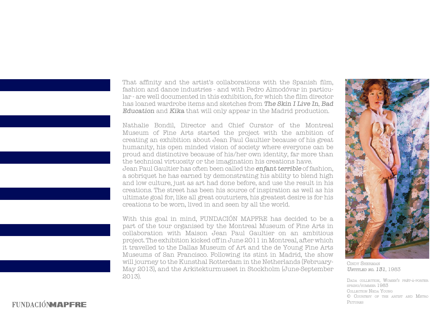That affinity and the artist's collaborations with the Spanish film, fashion and dance industries - and with Pedro Almodóvar in particular - are well documented in this exhibition, for which the film director has loaned wardrobe items and sketches from The Skin I Live In, Bad Education and Kika that will only appear in the Madrid production.

Nathalie Bondil, Director and Chief Curator of the Montreal Museum of Fine Arts started the project with the ambition of creating an exhibition about Jean Paul Gaultier because of his great humanity, his open minded vision of society where everyone can be proud and distinctive because of his/her own identity, far more than the technical virtuosity or the imagination his creations have. Jean Paul Gaultier has often been called the enfant terrible of fashion, a sobriquet he has earned by demonstrating his ability to blend high and low culture, just as art had done before, and use the result in his creations. The street has been his source of inspiration as well as his ultimate goal for, like all great couturiers, his greatest desire is for his creations to be worn, lived in and seen by all the world.

With this goal in mind, FUNDACIÓN MAPFRE has decided to be a part of the tour organised by the Montreal Museum of Fine Arts in collaboration with Maison Jean Paul Gaultier on an ambitious project. The exhibition kicked off in June 2011 in Montreal, after which it travelled to the Dallas Museum of Art and the de Young Fine Arts Museums of San Francisco. Following its stint in Madrid, the show will journey to the Kunsthal Rotterdam in the Netherlands (February-May 2013), and the Arkitekturmuseet in Stockholm (June-September 2013).



Cindy Sherman UNTITLED NO. 131, 1983

Dada collection, Women's prêt-à-porter spring/summer 1983 Collection Neda Young © Courtesy of the artist and Metro PICTURES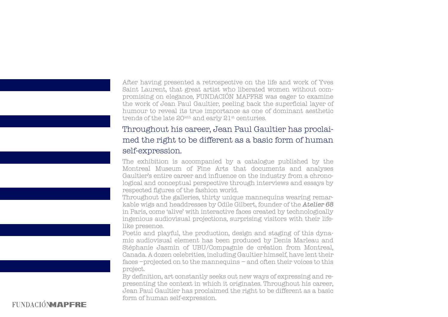After having presented a retrospective on the life and work of Yves Saint Laurent, that great artist who liberated women without compromising on elegance, FUNDACIÓN MAPFRE was eager to examine the work of Jean Paul Gaultier, peeling back the superficial layer of humour to reveal its true importance as one of dominant aesthetic trends of the late 20<sup>ieth</sup> and early 21<sup>st</sup> centuries.

### Throughout his career, Jean Paul Gaultier has proclaimed the right to be different as a basic form of human self-expression.

The exhibition is accompanied by a catalogue published by the Montreal Museum of Fine Arts that documents and analyses Gaultier's entire career and influence on the industry from a chronological and conceptual perspective through interviews and essays by respected figures of the fashion world.

Throughout the galleries, thirty unique mannequins wearing remarkable wigs and headdresses by Odile Gilbert, founder of the Atelier 68 in Paris, come 'alive' with interactive faces created by technologically ingenious audiovisual projections, surprising visitors with their lifelike presence.

Poetic and playful, the production, design and staging of this dynamic audiovisual element has been produced by Denis Marleau and Stéphanie Jasmin of UBU/Compagnie de création from Montreal, Canada. A dozen celebrities, including Gaultier himself, have lent their faces –projected on to the mannequins – and often their voices to this project.

By definition, art constantly seeks out new ways of expressing and representing the context in which it originates. Throughout his career, Jean Paul Gaultier has proclaimed the right to be different as a basic form of human self-expression.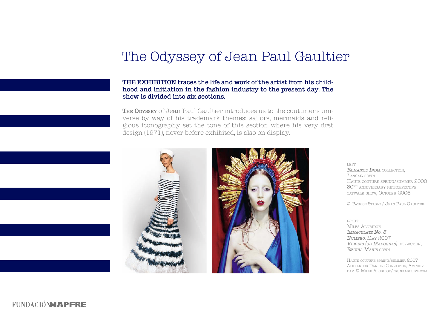# The Odyssey of Jean Paul Gaultier

#### THE EXHIBITION traces the life and work of the artist from his childhood and initiation in the fashion industry to the present day. The show is divided into six sections.

THE ODYSSEY Of Jean Paul Gaultier introduces us to the couturier's universe by way of his trademark themes; sailors, mermaids and religious iconography set the tone of this section where his very first design (1971), never before exhibited, is also on display.





left ROMANTIC INDIA COLLECTION. LASCAR GOWN Haute couture spring/summer 2000 30ieth anniversary retrospective catwalk show, October 2006

© Patrice Stable / Jean Paul Gaultier

right MILES ALDBIDGE Immaculate No. 3 Numéro, May 2007 Virgins (or Madonnas) collection, REGINA MARIS GOWN

Haute couture spring/summer 2007 Alexander Daniels Collection, Amsterdam © Miles Aldridge/trunkarchive.com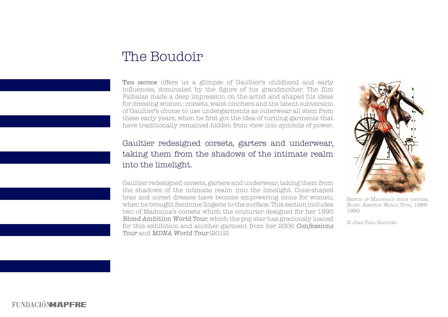# The Boudoir

This section offers us a glimpse of Gaultier's childhood and early influences, dominated by the figure of his grandmother. The film Falbalas made a deep impression on the artist and shaped his ideas for dressing women : corsets, waist-cinchers and the latent subversion of Gaultier's choice to use undergarments as outerwear all stem from these early years, when he first got the idea of turning garments that have traditionally remained hidden from view into symbols of power.

### Gaultier redesigned corsets, garters and underwear, taking them from the shadows of the intimate realm into the limelight.

Gaultier redesigned corsets, garters and underwear, taking them from the shadows of the intimate realm into the limelight. Cone-shaped bras and corset dresses have become empowering icons for women, when he brought feminine lingerie to the surface. This section includes two of Madonna's corsets which the couturier designed for her 1990 Blond Ambition World Tour, which the pop star has graciously loaned for this exhibition and another garment from her 2006 Confessions Tour and MDNA World Tour (2012)

![](_page_7_Picture_4.jpeg)

SKETCH OF MADONNA'S STAGE COSTUME. BLOND AMBITION WORLD TOUR, 1989-1990

© Jean Paul Gaultier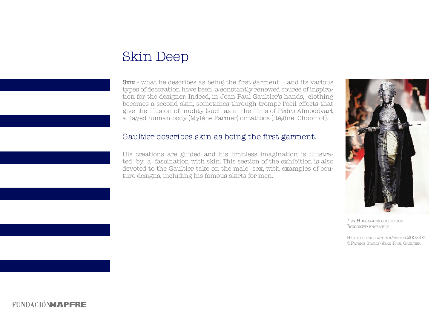# Skin Deep

**SKIN** - what he describes as being the first garment  $-$  and its various types of decoration have been a constantly renewed source of inspiration for the designer. Indeed, in Jean Paul Gaultier's hands, clothing becomes a second skin, sometimes through trompe-l'oeil effects that give the illusion of nudity (such as in the films of Pedro Almodóvar), a flayed human body (Mylène Farmer) or tattoos (Régine Chopinot).

#### Gaultier describes skin as being the first garment.

His creations are guided and his limitless imagination is illustrated by a fascination with skin. This section of the exhibition is also devoted to the Gaultier take on the male sex, with examples of couture designs, including his famous skirts for men.

![](_page_8_Picture_4.jpeg)

LES HUSSARDES COLLECTION INCOGNITO ENSEMBLE

Haute couture autumn/winter 2002-03 ©Patrice Stable/Jean Paul Gaultier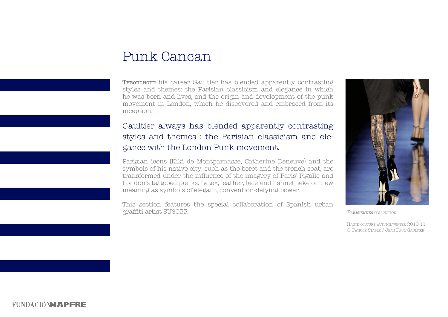### Punk Cancan

THROUGHOUT his career Gaultier has blended apparently contrasting styles and themes: the Parisian classicism and elegance in which he was born and lives, and the origin and development of the punk movement in London, which he discovered and embraced from its inception.

### Gaultier always has blended apparently contrasting styles and themes : the Parisian classicism and elegance with the London Punk movement.

Parisian icons (Kiki de Montparnasse, Catherine Deneuve) and the symbols of his native city, such as the beret and the trench coat, are transformed under the influence of the imagery of Paris' Pigalle and London's tattooed punks. Latex, leather, lace and fishnet take on new meaning as symbols of elegant, convention-defying power.

This section features the special collaboration of Spanish urban graffiti artist SUSO33.

![](_page_9_Picture_5.jpeg)

PARISIENNES COLLECTION

Haute couture autumn/winter 2010-11 © Patrice Stable / Jean Paul Gaultier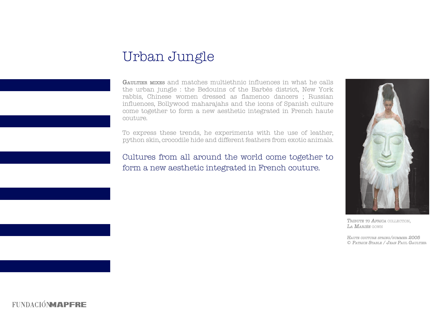# Urban Jungle

GAULTIER MIXES and matches multiethnic influences in what he calls the urban jungle : the Bedouins of the Barbès district, New York rabbis, Chinese women dressed as flamenco dancers ; Russian influences, Bollywood maharajahs and the icons of Spanish culture come together to form a new aesthetic integrated in French haute couture.

To express these trends, he experiments with the use of leather, python skin, crocodile hide and different feathers from exotic animals.

Cultures from all around the world come together to form a new aesthetic integrated in French couture.

![](_page_10_Picture_4.jpeg)

TRIBUTE TO AFRICA COLLECTION. La Mariée gown

HAUTE COUTURE SPRING/SUMMER 2005 © Patrice Stable / Jean Paul Gaultier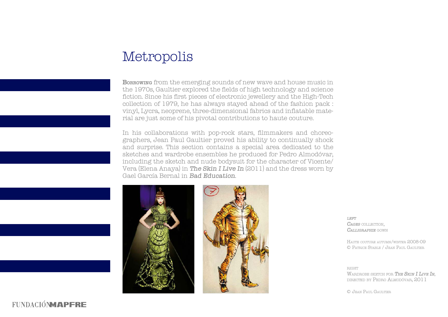# Metropolis

**Borrowing** from the emerging sounds of new wave and house music in the 1970s, Gaultier explored the fields of high technology and science fiction. Since his first pieces of electronic jewellery and the High-Tech collection of 1979, he has always stayed ahead of the fashion pack : vinyl, Lycra, neoprene, three-dimensional fabrics and inflatable material are just some of his pivotal contributions to haute couture.

In his collaborations with pop-rock stars, filmmakers and choreographers, Jean Paul Gaultier proved his ability to continually shock and surprise. This section contains a special area dedicated to the sketches and wardrobe ensembles he produced for Pedro Almodóvar, including the sketch and nude bodysuit for the character of Vicente/ Vera (Elena Anaya) in The Skin I Live In (2011) and the dress worn by Gael García Bernal in Bad Education.

![](_page_11_Picture_3.jpeg)

![](_page_11_Picture_4.jpeg)

 $LEFT$ CAGES COLLECTION, Calligraphie gown

Haute couture autumn/winter 2008-09 © Patrice Stable / Jean Paul Gaultier

**RIGHT** WARDROBE SKETCH FOR THE SKIN I LIVE IN. directed by Pedro Almodóvar, 2011

© Jean Paul Gaultier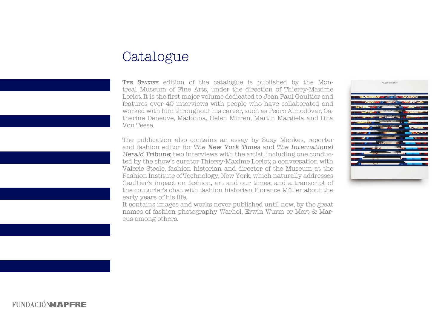# Catalogue

THE SPANISH edition of the catalogue is published by the Montreal Museum of Fine Arts, under the direction of Thierry-Maxime Loriot. It is the first major volume dedicated to Jean Paul Gaultier and features over 40 interviews with people who have collaborated and worked with him throughout his career, such as Pedro Almodóvar, Catherine Deneuve, Madonna, Helen Mirren, Martin Margiela and Dita Von Teese.

The publication also contains an essay by Suzy Menkes, reporter and fashion editor for The New York Times and The International Herald Tribune; two interviews with the artist, including one conducted by the show's curator Thierry-Maxime Loriot; a conversation with Valerie Steele, fashion historian and director of the Museum at the Fashion Institute of Technology, New York, which naturally addresses Gaultier's impact on fashion, art and our times; and a transcript of the couturier's chat with fashion historian Florence Müller about the early years of his life.

It contains images and works never published until now, by the great names of fashion photography Warhol, Erwin Wurm or Mert & Marcus among others.

![](_page_12_Picture_4.jpeg)